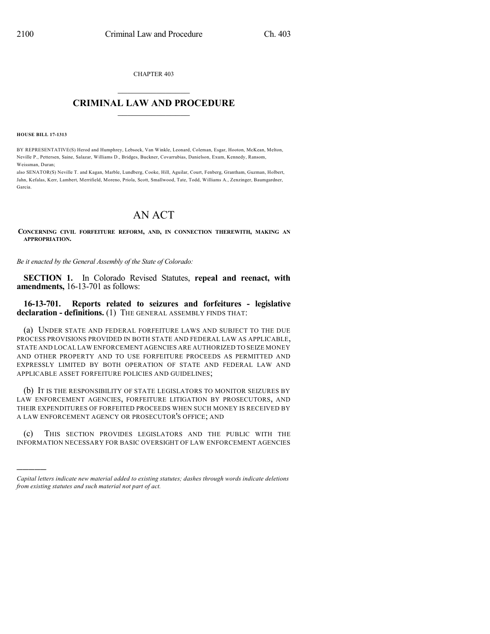CHAPTER 403

## $\mathcal{L}_\text{max}$  . The set of the set of the set of the set of the set of the set of the set of the set of the set of the set of the set of the set of the set of the set of the set of the set of the set of the set of the set **CRIMINAL LAW AND PROCEDURE**  $\frac{1}{2}$  ,  $\frac{1}{2}$  ,  $\frac{1}{2}$  ,  $\frac{1}{2}$  ,  $\frac{1}{2}$  ,  $\frac{1}{2}$  ,  $\frac{1}{2}$

**HOUSE BILL 17-1313**

)))))

BY REPRESENTATIVE(S) Herod and Humphrey, Lebsock, Van Winkle, Leonard, Coleman, Esgar, Hooton, McKean, Melton, Neville P., Pettersen, Saine, Salazar, Williams D., Bridges, Buckner, Covarrubias, Danielson, Exum, Kennedy, Ransom, Weissman, Duran;

also SENATOR(S) Neville T. and Kagan, Marble, Lundberg, Cooke, Hill, Aguilar, Court, Fenberg, Grantham, Guzman, Holbert, Jahn, Kefalas, Kerr, Lambert, Merrifield, Moreno, Priola, Scott, Smallwood, Tate, Todd, Williams A., Zenzinger, Baumgardner, Garcia.

## AN ACT

**CONCERNING CIVIL FORFEITURE REFORM, AND, IN CONNECTION THEREWITH, MAKING AN APPROPRIATION.**

*Be it enacted by the General Assembly of the State of Colorado:*

**SECTION 1.** In Colorado Revised Statutes, **repeal and reenact, with amendments,** 16-13-701 as follows:

**16-13-701. Reports related to seizures and forfeitures - legislative declaration - definitions.** (1) THE GENERAL ASSEMBLY FINDS THAT:

(a) UNDER STATE AND FEDERAL FORFEITURE LAWS AND SUBJECT TO THE DUE PROCESS PROVISIONS PROVIDED IN BOTH STATE AND FEDERAL LAW AS APPLICABLE, STATE AND LOCAL LAW ENFORCEMENT AGENCIES ARE AUTHORIZED TO SEIZE MONEY AND OTHER PROPERTY AND TO USE FORFEITURE PROCEEDS AS PERMITTED AND EXPRESSLY LIMITED BY BOTH OPERATION OF STATE AND FEDERAL LAW AND APPLICABLE ASSET FORFEITURE POLICIES AND GUIDELINES;

(b) IT IS THE RESPONSIBILITY OF STATE LEGISLATORS TO MONITOR SEIZURES BY LAW ENFORCEMENT AGENCIES, FORFEITURE LITIGATION BY PROSECUTORS, AND THEIR EXPENDITURES OF FORFEITED PROCEEDS WHEN SUCH MONEY IS RECEIVED BY A LAW ENFORCEMENT AGENCY OR PROSECUTOR'S OFFICE; AND

(c) THIS SECTION PROVIDES LEGISLATORS AND THE PUBLIC WITH THE INFORMATION NECESSARY FOR BASIC OVERSIGHT OF LAW ENFORCEMENT AGENCIES

*Capital letters indicate new material added to existing statutes; dashes through words indicate deletions from existing statutes and such material not part of act.*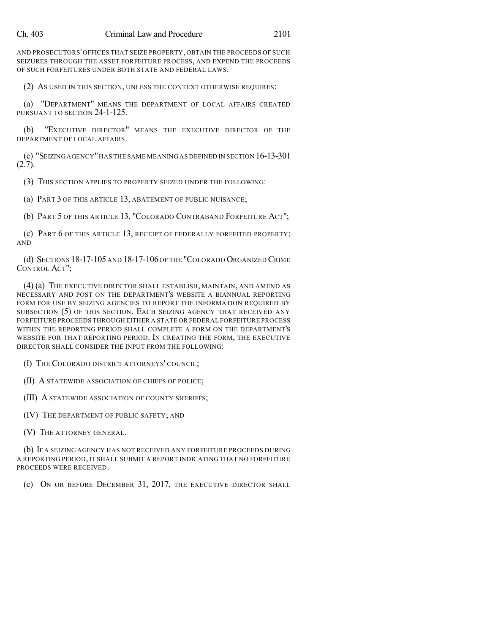AND PROSECUTORS' OFFICES THAT SEIZE PROPERTY, OBTAIN THE PROCEEDS OF SUCH SEIZURES THROUGH THE ASSET FORFEITURE PROCESS, AND EXPEND THE PROCEEDS OF SUCH FORFEITURES UNDER BOTH STATE AND FEDERAL LAWS.

(2) AS USED IN THIS SECTION, UNLESS THE CONTEXT OTHERWISE REQUIRES:

(a) "DEPARTMENT" MEANS THE DEPARTMENT OF LOCAL AFFAIRS CREATED PURSUANT TO SECTION 24-1-125.

(b) "EXECUTIVE DIRECTOR" MEANS THE EXECUTIVE DIRECTOR OF THE DEPARTMENT OF LOCAL AFFAIRS.

(c) "SEIZING AGENCY"HAS THE SAME MEANING AS DEFINED IN SECTION 16-13-301 (2.7).

(3) THIS SECTION APPLIES TO PROPERTY SEIZED UNDER THE FOLLOWING:

(a) PART 3 OF THIS ARTICLE 13, ABATEMENT OF PUBLIC NUISANCE;

(b) PART 5 OF THIS ARTICLE 13, "COLORADO CONTRABAND FORFEITURE ACT";

(c) PART 6 OF THIS ARTICLE 13, RECEIPT OF FEDERALLY FORFEITED PROPERTY; AND

(d) SECTIONS 18-17-105 AND 18-17-106 OF THE "COLORADO ORGANIZED CRIME CONTROL ACT";

(4) (a) THE EXECUTIVE DIRECTOR SHALL ESTABLISH, MAINTAIN, AND AMEND AS NECESSARY AND POST ON THE DEPARTMENT'S WEBSITE A BIANNUAL REPORTING FORM FOR USE BY SEIZING AGENCIES TO REPORT THE INFORMATION REQUIRED BY SUBSECTION (5) OF THIS SECTION. EACH SEIZING AGENCY THAT RECEIVED ANY FORFEITURE PROCEEDS THROUGH EITHER A STATE OR FEDERAL FORFEITURE PROCESS WITHIN THE REPORTING PERIOD SHALL COMPLETE A FORM ON THE DEPARTMENT'S WEBSITE FOR THAT REPORTING PERIOD. IN CREATING THE FORM, THE EXECUTIVE DIRECTOR SHALL CONSIDER THE INPUT FROM THE FOLLOWING:

(I) THE COLORADO DISTRICT ATTORNEYS' COUNCIL;

(II) A STATEWIDE ASSOCIATION OF CHIEFS OF POLICE;

(III) A STATEWIDE ASSOCIATION OF COUNTY SHERIFFS;

(IV) THE DEPARTMENT OF PUBLIC SAFETY; AND

(V) THE ATTORNEY GENERAL.

(b) IF A SEIZING AGENCY HAS NOT RECEIVED ANY FORFEITURE PROCEEDS DURING A REPORTING PERIOD, IT SHALL SUBMIT A REPORT INDICATING THAT NO FORFEITURE PROCEEDS WERE RECEIVED.

(c) ON OR BEFORE DECEMBER 31, 2017, THE EXECUTIVE DIRECTOR SHALL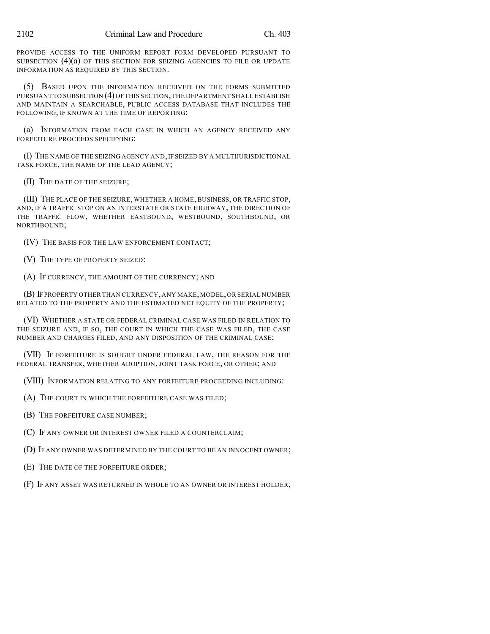PROVIDE ACCESS TO THE UNIFORM REPORT FORM DEVELOPED PURSUANT TO SUBSECTION  $(4)(a)$  of this section for seizing agencies to file or update INFORMATION AS REQUIRED BY THIS SECTION.

(5) BASED UPON THE INFORMATION RECEIVED ON THE FORMS SUBMITTED PURSUANT TO SUBSECTION (4) OFTHIS SECTION,THE DEPARTMENT SHALL ESTABLISH AND MAINTAIN A SEARCHABLE, PUBLIC ACCESS DATABASE THAT INCLUDES THE FOLLOWING, IF KNOWN AT THE TIME OF REPORTING:

(a) INFORMATION FROM EACH CASE IN WHICH AN AGENCY RECEIVED ANY FORFEITURE PROCEEDS SPECIFYING:

(I) THE NAME OF THE SEIZING AGENCY AND,IF SEIZED BY A MULTIJURISDICTIONAL TASK FORCE, THE NAME OF THE LEAD AGENCY;

(II) THE DATE OF THE SEIZURE;

(III) THE PLACE OF THE SEIZURE, WHETHER A HOME, BUSINESS, OR TRAFFIC STOP, AND, IF A TRAFFIC STOP ON AN INTERSTATE OR STATE HIGHWAY, THE DIRECTION OF THE TRAFFIC FLOW, WHETHER EASTBOUND, WESTBOUND, SOUTHBOUND, OR NORTHBOUND;

(IV) THE BASIS FOR THE LAW ENFORCEMENT CONTACT;

(V) THE TYPE OF PROPERTY SEIZED:

(A) IF CURRENCY, THE AMOUNT OF THE CURRENCY; AND

(B) IFPROPERTY OTHER THAN CURRENCY,ANY MAKE,MODEL,OR SERIAL NUMBER RELATED TO THE PROPERTY AND THE ESTIMATED NET EQUITY OF THE PROPERTY;

(VI) WHETHER A STATE OR FEDERAL CRIMINAL CASE WAS FILED IN RELATION TO THE SEIZURE AND, IF SO, THE COURT IN WHICH THE CASE WAS FILED, THE CASE NUMBER AND CHARGES FILED, AND ANY DISPOSITION OF THE CRIMINAL CASE;

(VII) IF FORFEITURE IS SOUGHT UNDER FEDERAL LAW, THE REASON FOR THE FEDERAL TRANSFER, WHETHER ADOPTION, JOINT TASK FORCE, OR OTHER; AND

(VIII) INFORMATION RELATING TO ANY FORFEITURE PROCEEDING INCLUDING:

(A) THE COURT IN WHICH THE FORFEITURE CASE WAS FILED;

(B) THE FORFEITURE CASE NUMBER;

(C) IF ANY OWNER OR INTEREST OWNER FILED A COUNTERCLAIM;

(D) IF ANY OWNER WAS DETERMINED BY THE COURT TO BE AN INNOCENT OWNER;

(E) THE DATE OF THE FORFEITURE ORDER;

(F) IF ANY ASSET WAS RETURNED IN WHOLE TO AN OWNER OR INTEREST HOLDER,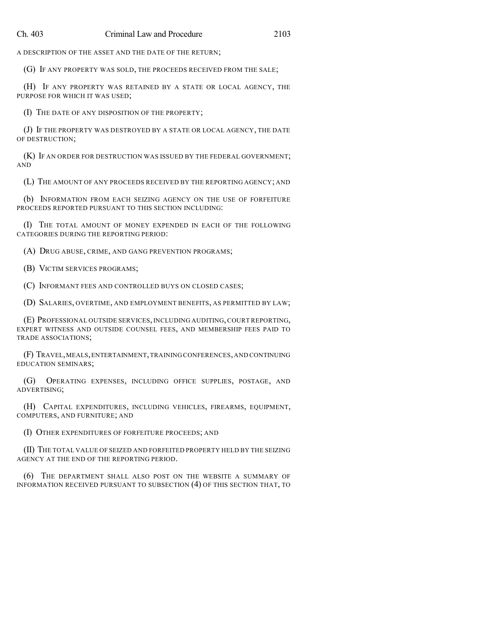A DESCRIPTION OF THE ASSET AND THE DATE OF THE RETURN;

(G) IF ANY PROPERTY WAS SOLD, THE PROCEEDS RECEIVED FROM THE SALE;

(H) IF ANY PROPERTY WAS RETAINED BY A STATE OR LOCAL AGENCY, THE PURPOSE FOR WHICH IT WAS USED;

(I) THE DATE OF ANY DISPOSITION OF THE PROPERTY;

(J) IF THE PROPERTY WAS DESTROYED BY A STATE OR LOCAL AGENCY, THE DATE OF DESTRUCTION;

(K) IF AN ORDER FOR DESTRUCTION WAS ISSUED BY THE FEDERAL GOVERNMENT; AND

(L) THE AMOUNT OF ANY PROCEEDS RECEIVED BY THE REPORTING AGENCY; AND

(b) INFORMATION FROM EACH SEIZING AGENCY ON THE USE OF FORFEITURE PROCEEDS REPORTED PURSUANT TO THIS SECTION INCLUDING:

(I) THE TOTAL AMOUNT OF MONEY EXPENDED IN EACH OF THE FOLLOWING CATEGORIES DURING THE REPORTING PERIOD:

(A) DRUG ABUSE, CRIME, AND GANG PREVENTION PROGRAMS;

(B) VICTIM SERVICES PROGRAMS;

(C) INFORMANT FEES AND CONTROLLED BUYS ON CLOSED CASES;

(D) SALARIES, OVERTIME, AND EMPLOYMENT BENEFITS, AS PERMITTED BY LAW;

(E) PROFESSIONAL OUTSIDE SERVICES, INCLUDING AUDITING, COURT REPORTING, EXPERT WITNESS AND OUTSIDE COUNSEL FEES, AND MEMBERSHIP FEES PAID TO TRADE ASSOCIATIONS;

(F) TRAVEL,MEALS,ENTERTAINMENT,TRAINING CONFERENCES,AND CONTINUING EDUCATION SEMINARS;

(G) OPERATING EXPENSES, INCLUDING OFFICE SUPPLIES, POSTAGE, AND ADVERTISING;

(H) CAPITAL EXPENDITURES, INCLUDING VEHICLES, FIREARMS, EQUIPMENT, COMPUTERS, AND FURNITURE; AND

(I) OTHER EXPENDITURES OF FORFEITURE PROCEEDS; AND

(II) THE TOTAL VALUE OF SEIZED AND FORFEITED PROPERTY HELD BY THE SEIZING AGENCY AT THE END OF THE REPORTING PERIOD.

(6) THE DEPARTMENT SHALL ALSO POST ON THE WEBSITE A SUMMARY OF INFORMATION RECEIVED PURSUANT TO SUBSECTION (4) OF THIS SECTION THAT, TO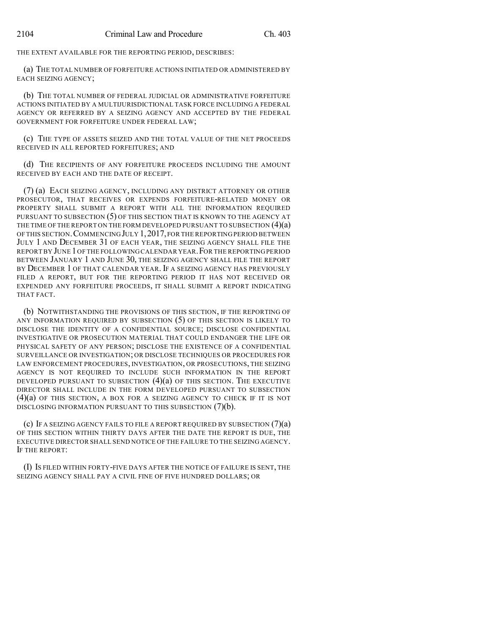THE EXTENT AVAILABLE FOR THE REPORTING PERIOD, DESCRIBES:

(a) THE TOTAL NUMBER OF FORFEITURE ACTIONS INITIATED OR ADMINISTERED BY EACH SEIZING AGENCY;

(b) THE TOTAL NUMBER OF FEDERAL JUDICIAL OR ADMINISTRATIVE FORFEITURE ACTIONS INITIATED BY A MULTIJURISDICTIONAL TASK FORCE INCLUDING A FEDERAL AGENCY OR REFERRED BY A SEIZING AGENCY AND ACCEPTED BY THE FEDERAL GOVERNMENT FOR FORFEITURE UNDER FEDERAL LAW;

(c) THE TYPE OF ASSETS SEIZED AND THE TOTAL VALUE OF THE NET PROCEEDS RECEIVED IN ALL REPORTED FORFEITURES; AND

(d) THE RECIPIENTS OF ANY FORFEITURE PROCEEDS INCLUDING THE AMOUNT RECEIVED BY EACH AND THE DATE OF RECEIPT.

(7) (a) EACH SEIZING AGENCY, INCLUDING ANY DISTRICT ATTORNEY OR OTHER PROSECUTOR, THAT RECEIVES OR EXPENDS FORFEITURE-RELATED MONEY OR PROPERTY SHALL SUBMIT A REPORT WITH ALL THE INFORMATION REQUIRED PURSUANT TO SUBSECTION (5) OF THIS SECTION THAT IS KNOWN TO THE AGENCY AT THE TIME OF THE REPORT ON THE FORM DEVELOPED PURSUANT TO SUBSECTION (4)(a) OF THIS SECTION.COMMENCING JULY 1,2017,FOR THE REPORTING PERIOD BETWEEN JULY 1 AND DECEMBER 31 OF EACH YEAR, THE SEIZING AGENCY SHALL FILE THE REPORT BY JUNE 1OF THE FOLLOWINGCALENDAR YEAR.FOR THE REPORTING PERIOD BETWEEN JANUARY 1 AND JUNE 30, THE SEIZING AGENCY SHALL FILE THE REPORT BY DECEMBER 1 OF THAT CALENDAR YEAR. IF A SEIZING AGENCY HAS PREVIOUSLY FILED A REPORT, BUT FOR THE REPORTING PERIOD IT HAS NOT RECEIVED OR EXPENDED ANY FORFEITURE PROCEEDS, IT SHALL SUBMIT A REPORT INDICATING THAT FACT.

(b) NOTWITHSTANDING THE PROVISIONS OF THIS SECTION, IF THE REPORTING OF ANY INFORMATION REQUIRED BY SUBSECTION (5) OF THIS SECTION IS LIKELY TO DISCLOSE THE IDENTITY OF A CONFIDENTIAL SOURCE; DISCLOSE CONFIDENTIAL INVESTIGATIVE OR PROSECUTION MATERIAL THAT COULD ENDANGER THE LIFE OR PHYSICAL SAFETY OF ANY PERSON; DISCLOSE THE EXISTENCE OF A CONFIDENTIAL SURVEILLANCE OR INVESTIGATION; OR DISCLOSE TECHNIQUES OR PROCEDURES FOR LAW ENFORCEMENT PROCEDURES, INVESTIGATION, OR PROSECUTIONS, THE SEIZING AGENCY IS NOT REQUIRED TO INCLUDE SUCH INFORMATION IN THE REPORT DEVELOPED PURSUANT TO SUBSECTION  $(4)(a)$  OF THIS SECTION. THE EXECUTIVE DIRECTOR SHALL INCLUDE IN THE FORM DEVELOPED PURSUANT TO SUBSECTION (4)(a) OF THIS SECTION, A BOX FOR A SEIZING AGENCY TO CHECK IF IT IS NOT DISCLOSING INFORMATION PURSUANT TO THIS SUBSECTION (7)(b).

(c) IF A SEIZING AGENCY FAILS TO FILE A REPORT REQUIRED BY SUBSECTION (7)(a) OF THIS SECTION WITHIN THIRTY DAYS AFTER THE DATE THE REPORT IS DUE, THE EXECUTIVE DIRECTOR SHALL SEND NOTICE OF THE FAILURE TO THE SEIZING AGENCY. IF THE REPORT:

(I) IS FILED WITHIN FORTY-FIVE DAYS AFTER THE NOTICE OF FAILURE IS SENT, THE SEIZING AGENCY SHALL PAY A CIVIL FINE OF FIVE HUNDRED DOLLARS; OR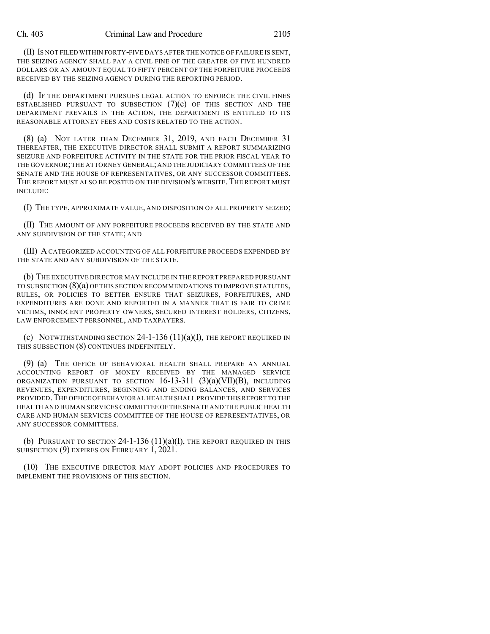(II) IS NOT FILED WITHIN FORTY-FIVE DAYS AFTER THE NOTICE OF FAILURE IS SENT, THE SEIZING AGENCY SHALL PAY A CIVIL FINE OF THE GREATER OF FIVE HUNDRED DOLLARS OR AN AMOUNT EQUAL TO FIFTY PERCENT OF THE FORFEITURE PROCEEDS RECEIVED BY THE SEIZING AGENCY DURING THE REPORTING PERIOD.

(d) IF THE DEPARTMENT PURSUES LEGAL ACTION TO ENFORCE THE CIVIL FINES ESTABLISHED PURSUANT TO SUBSECTION  $(7)(c)$  of this section and the DEPARTMENT PREVAILS IN THE ACTION, THE DEPARTMENT IS ENTITLED TO ITS REASONABLE ATTORNEY FEES AND COSTS RELATED TO THE ACTION.

(8) (a) NOT LATER THAN DECEMBER 31, 2019, AND EACH DECEMBER 31 THEREAFTER, THE EXECUTIVE DIRECTOR SHALL SUBMIT A REPORT SUMMARIZING SEIZURE AND FORFEITURE ACTIVITY IN THE STATE FOR THE PRIOR FISCAL YEAR TO THE GOVERNOR;THE ATTORNEY GENERAL;AND THE JUDICIARY COMMITTEES OF THE SENATE AND THE HOUSE OF REPRESENTATIVES, OR ANY SUCCESSOR COMMITTEES. THE REPORT MUST ALSO BE POSTED ON THE DIVISION'S WEBSITE. THE REPORT MUST INCLUDE:

(I) THE TYPE, APPROXIMATE VALUE, AND DISPOSITION OF ALL PROPERTY SEIZED;

(II) THE AMOUNT OF ANY FORFEITURE PROCEEDS RECEIVED BY THE STATE AND ANY SUBDIVISION OF THE STATE; AND

(III) ACATEGORIZED ACCOUNTING OF ALL FORFEITURE PROCEEDS EXPENDED BY THE STATE AND ANY SUBDIVISION OF THE STATE.

(b) THE EXECUTIVE DIRECTOR MAY INCLUDE IN THE REPORT PREPARED PURSUANT TO SUBSECTION (8)(a) OF THIS SECTION RECOMMENDATIONS TO IMPROVE STATUTES, RULES, OR POLICIES TO BETTER ENSURE THAT SEIZURES, FORFEITURES, AND EXPENDITURES ARE DONE AND REPORTED IN A MANNER THAT IS FAIR TO CRIME VICTIMS, INNOCENT PROPERTY OWNERS, SECURED INTEREST HOLDERS, CITIZENS, LAW ENFORCEMENT PERSONNEL, AND TAXPAYERS.

(c) NOTWITHSTANDING SECTION  $24$ -1-136 (11)(a)(I), the report required in THIS SUBSECTION (8) CONTINUES INDEFINITELY.

(9) (a) THE OFFICE OF BEHAVIORAL HEALTH SHALL PREPARE AN ANNUAL ACCOUNTING REPORT OF MONEY RECEIVED BY THE MANAGED SERVICE ORGANIZATION PURSUANT TO SECTION 16-13-311 (3)(a)(VII)(B), INCLUDING REVENUES, EXPENDITURES, BEGINNING AND ENDING BALANCES, AND SERVICES PROVIDED. THE OFFICE OF BEHAVIORAL HEALTH SHALL PROVIDE THIS REPORT TO THE HEALTH AND HUMAN SERVICES COMMITTEE OFTHE SENATE AND THE PUBLIC HEALTH CARE AND HUMAN SERVICES COMMITTEE OF THE HOUSE OF REPRESENTATIVES, OR ANY SUCCESSOR COMMITTEES.

(b) PURSUANT TO SECTION 24-1-136  $(11)(a)(I)$ , the report required in this SUBSECTION (9) EXPIRES ON FEBRUARY 1, 2021.

(10) THE EXECUTIVE DIRECTOR MAY ADOPT POLICIES AND PROCEDURES TO IMPLEMENT THE PROVISIONS OF THIS SECTION.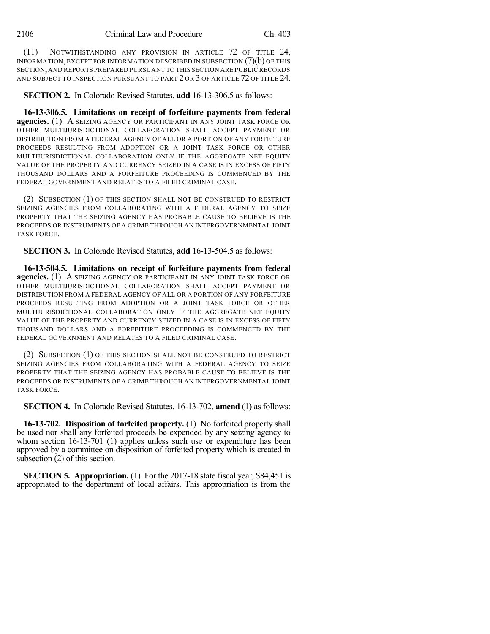(11) NOTWITHSTANDING ANY PROVISION IN ARTICLE 72 OF TITLE 24, INFORMATION, EXCEPT FOR INFORMATION DESCRIBED IN SUBSECTION (7)(b) OF THIS SECTION,AND REPORTS PREPARED PURSUANT TO THIS SECTION ARE PUBLIC RECORDS AND SUBJECT TO INSPECTION PURSUANT TO PART 2 OR 3 OF ARTICLE 72 OF TITLE 24.

**SECTION 2.** In Colorado Revised Statutes, **add** 16-13-306.5 as follows:

**16-13-306.5. Limitations on receipt of forfeiture payments from federal agencies.** (1) A SEIZING AGENCY OR PARTICIPANT IN ANY JOINT TASK FORCE OR OTHER MULTIJURISDICTIONAL COLLABORATION SHALL ACCEPT PAYMENT OR DISTRIBUTION FROM A FEDERAL AGENCY OF ALL OR A PORTION OF ANY FORFEITURE PROCEEDS RESULTING FROM ADOPTION OR A JOINT TASK FORCE OR OTHER MULTIJURISDICTIONAL COLLABORATION ONLY IF THE AGGREGATE NET EQUITY VALUE OF THE PROPERTY AND CURRENCY SEIZED IN A CASE IS IN EXCESS OF FIFTY THOUSAND DOLLARS AND A FORFEITURE PROCEEDING IS COMMENCED BY THE FEDERAL GOVERNMENT AND RELATES TO A FILED CRIMINAL CASE.

(2) SUBSECTION (1) OF THIS SECTION SHALL NOT BE CONSTRUED TO RESTRICT SEIZING AGENCIES FROM COLLABORATING WITH A FEDERAL AGENCY TO SEIZE PROPERTY THAT THE SEIZING AGENCY HAS PROBABLE CAUSE TO BELIEVE IS THE PROCEEDS OR INSTRUMENTS OF A CRIME THROUGH AN INTERGOVERNMENTAL JOINT TASK FORCE.

**SECTION 3.** In Colorado Revised Statutes, **add** 16-13-504.5 as follows:

**16-13-504.5. Limitations on receipt of forfeiture payments from federal agencies.** (1) A SEIZING AGENCY OR PARTICIPANT IN ANY JOINT TASK FORCE OR OTHER MULTIJURISDICTIONAL COLLABORATION SHALL ACCEPT PAYMENT OR DISTRIBUTION FROM A FEDERAL AGENCY OF ALL OR A PORTION OF ANY FORFEITURE PROCEEDS RESULTING FROM ADOPTION OR A JOINT TASK FORCE OR OTHER MULTIJURISDICTIONAL COLLABORATION ONLY IF THE AGGREGATE NET EQUITY VALUE OF THE PROPERTY AND CURRENCY SEIZED IN A CASE IS IN EXCESS OF FIFTY THOUSAND DOLLARS AND A FORFEITURE PROCEEDING IS COMMENCED BY THE FEDERAL GOVERNMENT AND RELATES TO A FILED CRIMINAL CASE.

(2) SUBSECTION (1) OF THIS SECTION SHALL NOT BE CONSTRUED TO RESTRICT SEIZING AGENCIES FROM COLLABORATING WITH A FEDERAL AGENCY TO SEIZE PROPERTY THAT THE SEIZING AGENCY HAS PROBABLE CAUSE TO BELIEVE IS THE PROCEEDS OR INSTRUMENTS OF A CRIME THROUGH AN INTERGOVERNMENTAL JOINT TASK FORCE.

**SECTION 4.** In Colorado Revised Statutes, 16-13-702, **amend** (1) as follows:

**16-13-702. Disposition of forfeited property.** (1) No forfeited property shall be used nor shall any forfeited proceeds be expended by any seizing agency to whom section 16-13-701  $(+)$  applies unless such use or expenditure has been approved by a committee on disposition of forfeited property which is created in subsection (2) of this section.

**SECTION 5. Appropriation.** (1) For the 2017-18 state fiscal year, \$84,451 is appropriated to the department of local affairs. This appropriation is from the